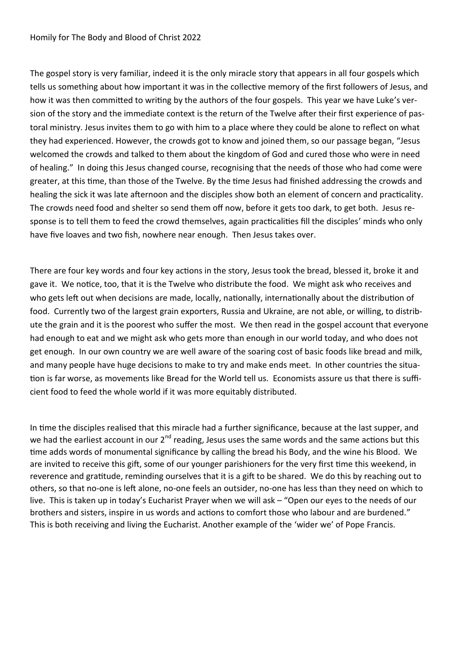## Homily for The Body and Blood of Christ 2022

The gospel story is very familiar, indeed it is the only miracle story that appears in all four gospels which tells us something about how important it was in the collective memory of the first followers of Jesus, and how it was then committed to writing by the authors of the four gospels. This year we have Luke's version of the story and the immediate context is the return of the Twelve after their first experience of pastoral ministry. Jesus invites them to go with him to a place where they could be alone to reflect on what they had experienced. However, the crowds got to know and joined them, so our passage began, "Jesus welcomed the crowds and talked to them about the kingdom of God and cured those who were in need of healing." In doing this Jesus changed course, recognising that the needs of those who had come were greater, at this time, than those of the Twelve. By the time Jesus had finished addressing the crowds and healing the sick it was late afternoon and the disciples show both an element of concern and practicality. The crowds need food and shelter so send them off now, before it gets too dark, to get both. Jesus response is to tell them to feed the crowd themselves, again practicalities fill the disciples' minds who only have five loaves and two fish, nowhere near enough. Then Jesus takes over.

There are four key words and four key actions in the story, Jesus took the bread, blessed it, broke it and gave it. We notice, too, that it is the Twelve who distribute the food. We might ask who receives and who gets left out when decisions are made, locally, nationally, internationally about the distribution of food. Currently two of the largest grain exporters, Russia and Ukraine, are not able, or willing, to distribute the grain and it is the poorest who suffer the most. We then read in the gospel account that everyone had enough to eat and we might ask who gets more than enough in our world today, and who does not get enough. In our own country we are well aware of the soaring cost of basic foods like bread and milk, and many people have huge decisions to make to try and make ends meet. In other countries the situation is far worse, as movements like Bread for the World tell us. Economists assure us that there is sufficient food to feed the whole world if it was more equitably distributed.

In time the disciples realised that this miracle had a further significance, because at the last supper, and we had the earliest account in our  $2^{nd}$  reading, Jesus uses the same words and the same actions but this time adds words of monumental significance by calling the bread his Body, and the wine his Blood. We are invited to receive this gift, some of our younger parishioners for the very first time this weekend, in reverence and gratitude, reminding ourselves that it is a gift to be shared. We do this by reaching out to others, so that no-one is left alone, no-one feels an outsider, no-one has less than they need on which to live. This is taken up in today's Eucharist Prayer when we will ask – "Open our eyes to the needs of our brothers and sisters, inspire in us words and actions to comfort those who labour and are burdened." This is both receiving and living the Eucharist. Another example of the 'wider we' of Pope Francis.